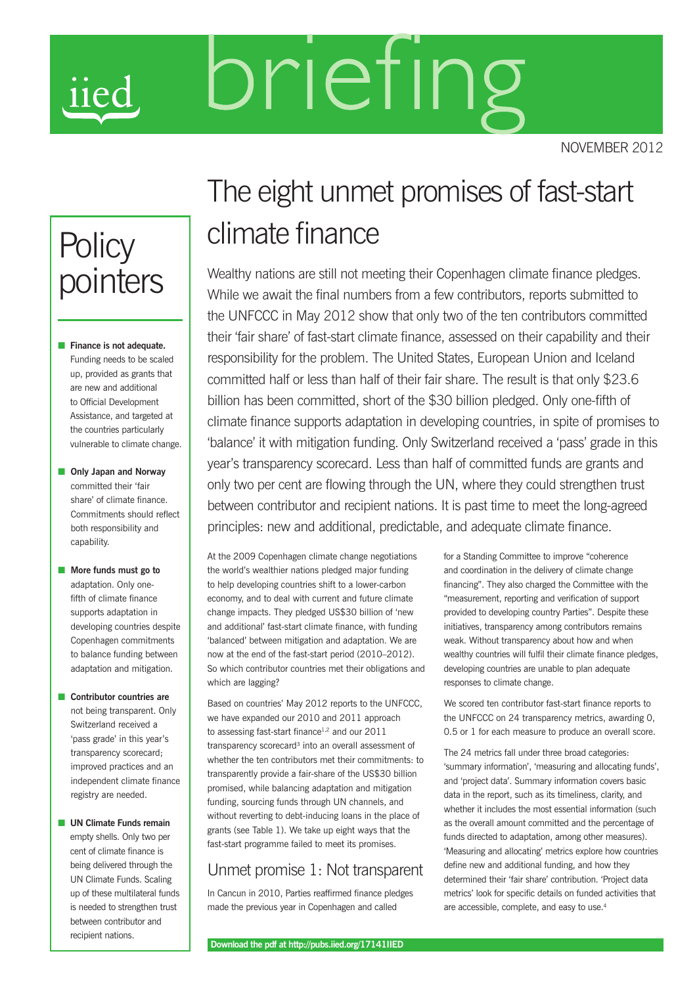# brieting **11e**

november 2012

# **Policy** pointers

- **n** Finance is not adequate. Funding needs to be scaled up, provided as grants that are new and additional to Official Development Assistance, and targeted at the countries particularly vulnerable to climate change.
- **n** Only Japan and Norway committed their 'fair share' of climate finance. Commitments should reflect both responsibility and capability.
- **n** More funds must go to adaptation. Only onefifth of climate finance supports adaptation in developing countries despite Copenhagen commitments to balance funding between adaptation and mitigation.
- **n** Contributor countries are not being transparent. Only Switzerland received a 'pass grade' in this year's transparency scorecard; improved practices and an independent climate finance registry are needed.
- **n** UN Climate Funds remain empty shells. Only two per cent of climate finance is being delivered through the UN Climate Funds. Scaling up of these multilateral funds is needed to strengthen trust between contributor and recipient nations.

## The eight unmet promises of fast-start climate finance

Wealthy nations are still not meeting their Copenhagen climate finance pledges. While we await the final numbers from a few contributors, reports submitted to the UNFCCC in May 2012 show that only two of the ten contributors committed their 'fair share' of fast-start climate finance, assessed on their capability and their responsibility for the problem. The United States, European Union and Iceland committed half or less than half of their fair share. The result is that only \$23.6 billion has been committed, short of the \$30 billion pledged. Only one-fifth of climate finance supports adaptation in developing countries, in spite of promises to 'balance' it with mitigation funding. Only Switzerland received a 'pass' grade in this year's transparency scorecard. Less than half of committed funds are grants and only two per cent are flowing through the UN, where they could strengthen trust between contributor and recipient nations. It is past time to meet the long-agreed principles: new and additional, predictable, and adequate climate finance.

At the 2009 Copenhagen climate change negotiations the world's wealthier nations pledged major funding to help developing countries shift to a lower-carbon economy, and to deal with current and future climate change impacts. They pledged US\$30 billion of 'new and additional' fast-start climate finance, with funding 'balanced' between mitigation and adaptation. We are now at the end of the fast-start period (2010–2012). So which contributor countries met their obligations and which are lagging?

Based on countries' May 2012 reports to the UNFCCC, we have expanded our 2010 and 2011 approach to assessing fast-start finance<sup>1,2</sup> and our 2011 transparency scorecard<sup>3</sup> into an overall assessment of whether the ten contributors met their commitments: to transparently provide a fair-share of the US\$30 billion promised, while balancing adaptation and mitigation funding, sourcing funds through UN channels, and without reverting to debt-inducing loans in the place of grants (see Table 1). We take up eight ways that the fast-start programme failed to meet its promises.

#### Unmet promise 1: Not transparent

In Cancun in 2010, Parties reaffirmed finance pledges made the previous year in Copenhagen and called

for a Standing Committee to improve "coherence and coordination in the delivery of climate change financing". They also charged the Committee with the "measurement, reporting and verification of support provided to developing country Parties". Despite these initiatives, transparency among contributors remains weak. Without transparency about how and when wealthy countries will fulfil their climate finance pledges, developing countries are unable to plan adequate responses to climate change.

We scored ten contributor fast-start finance reports to the UNFCCC on 24 transparency metrics, awarding 0, 0.5 or 1 for each measure to produce an overall score.

The 24 metrics fall under three broad categories: 'summary information', 'measuring and allocating funds', and 'project data'. Summary information covers basic data in the report, such as its timeliness, clarity, and whether it includes the most essential information (such as the overall amount committed and the percentage of funds directed to adaptation, among other measures). 'Measuring and allocating' metrics explore how countries define new and additional funding, and how they determined their 'fair share' contribution. 'Project data metrics' look for specific details on funded activities that are accessible, complete, and easy to use.<sup>4</sup>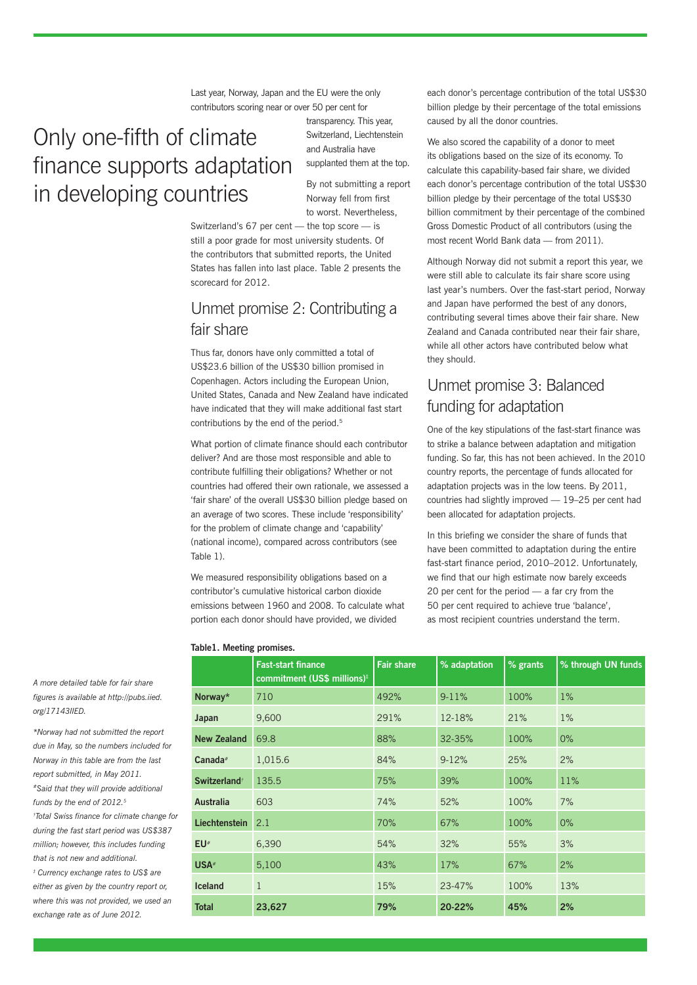Last year, Norway, Japan and the EU were the only contributors scoring near or over 50 per cent for

## Only one-fifth of climate finance supports adaptation in developing countries

transparency. This year, Switzerland, Liechtenstein and Australia have supplanted them at the top.

By not submitting a report Norway fell from first to worst. Nevertheless,

Switzerland's 67 per cent — the top score — is still a poor grade for most university students. Of the contributors that submitted reports, the United States has fallen into last place. Table 2 presents the scorecard for 2012.

#### Unmet promise 2: Contributing a fair share

Thus far, donors have only committed a total of US\$23.6 billion of the US\$30 billion promised in Copenhagen. Actors including the European Union, United States, Canada and New Zealand have indicated have indicated that they will make additional fast start contributions by the end of the period.<sup>5</sup>

What portion of climate finance should each contributor deliver? And are those most responsible and able to contribute fulfilling their obligations? Whether or not countries had offered their own rationale, we assessed a 'fair share' of the overall US\$30 billion pledge based on an average of two scores. These include 'responsibility' for the problem of climate change and 'capability' (national income), compared across contributors (see Table 1).

We measured responsibility obligations based on a contributor's cumulative historical carbon dioxide emissions between 1960 and 2008. To calculate what portion each donor should have provided, we divided

each donor's percentage contribution of the total US\$30 billion pledge by their percentage of the total emissions caused by all the donor countries.

We also scored the capability of a donor to meet its obligations based on the size of its economy. To calculate this capability-based fair share, we divided each donor's percentage contribution of the total US\$30 billion pledge by their percentage of the total US\$30 billion commitment by their percentage of the combined Gross Domestic Product of all contributors (using the most recent World Bank data — from 2011).

Although Norway did not submit a report this year, we were still able to calculate its fair share score using last year's numbers. Over the fast-start period, Norway and Japan have performed the best of any donors, contributing several times above their fair share. New Zealand and Canada contributed near their fair share, while all other actors have contributed below what they should.

#### Unmet promise 3: Balanced funding for adaptation

One of the key stipulations of the fast-start finance was to strike a balance between adaptation and mitigation funding. So far, this has not been achieved. In the 2010 country reports, the percentage of funds allocated for adaptation projects was in the low teens. By 2011, countries had slightly improved — 19–25 per cent had been allocated for adaptation projects.

In this briefing we consider the share of funds that have been committed to adaptation during the entire fast-start finance period, 2010–2012. Unfortunately, we find that our high estimate now barely exceeds 20 per cent for the period — a far cry from the 50 per cent required to achieve true 'balance', as most recipient countries understand the term.

|                          | <b>Fast-start finance</b><br>commitment (US\$ millions) <sup>#</sup> | <b>Fair share</b> | % adaptation | % grants | % through UN funds |  |  |
|--------------------------|----------------------------------------------------------------------|-------------------|--------------|----------|--------------------|--|--|
| Norway*                  | 710                                                                  | 492%              | $9 - 11%$    | 100%     | $1\%$              |  |  |
| Japan                    | 9,600                                                                | 291%              | 12-18%       | 21%      | $1\%$              |  |  |
| <b>New Zealand</b>       | 69.8                                                                 | 88%               | 32-35%       | 100%     | $0\%$              |  |  |
| $Canada*$                | 1,015.6                                                              | 84%               | $9 - 12%$    | 25%      | 2%                 |  |  |
| Switzerland <sup>†</sup> | 135.5                                                                | 75%               | 39%          | 100%     | 11%                |  |  |
| <b>Australia</b>         | 603                                                                  | 74%               | 52%          | 100%     | 7%                 |  |  |
| Liechtenstein            | 2.1                                                                  | 70%               | 67%          | 100%     | $0\%$              |  |  |
| EU <sup>#</sup>          | 6,390                                                                | 54%               | 32%          | 55%      | 3%                 |  |  |
| USA <sup>#</sup>         | 5,100                                                                | 43%               | 17%          | 67%      | 2%                 |  |  |
| <b>Iceland</b>           | $\mathbf{1}$                                                         | 15%               | 23-47%       | 100%     | 13%                |  |  |
| <b>Total</b>             | 23,627                                                               | 79%               | 20-22%       | 45%      | 2%                 |  |  |

**Table1. Meeting promises.** 

*A more detailed table for fair share figures is available at http://pubs.iied. org/17143IIED.*

*\*Norway had not submitted the report due in May, so the numbers included for Norway in this table are from the last report submitted, in May 2011. #Said that they will provide additional funds by the end of 2012.5 † Total Swiss finance for climate change for during the fast start period was US\$387 million; however, this includes funding that is not new and additional. ‡ Currency exchange rates to US\$ are either as given by the country report or, where this was not provided, we used an exchange rate as of June 2012.*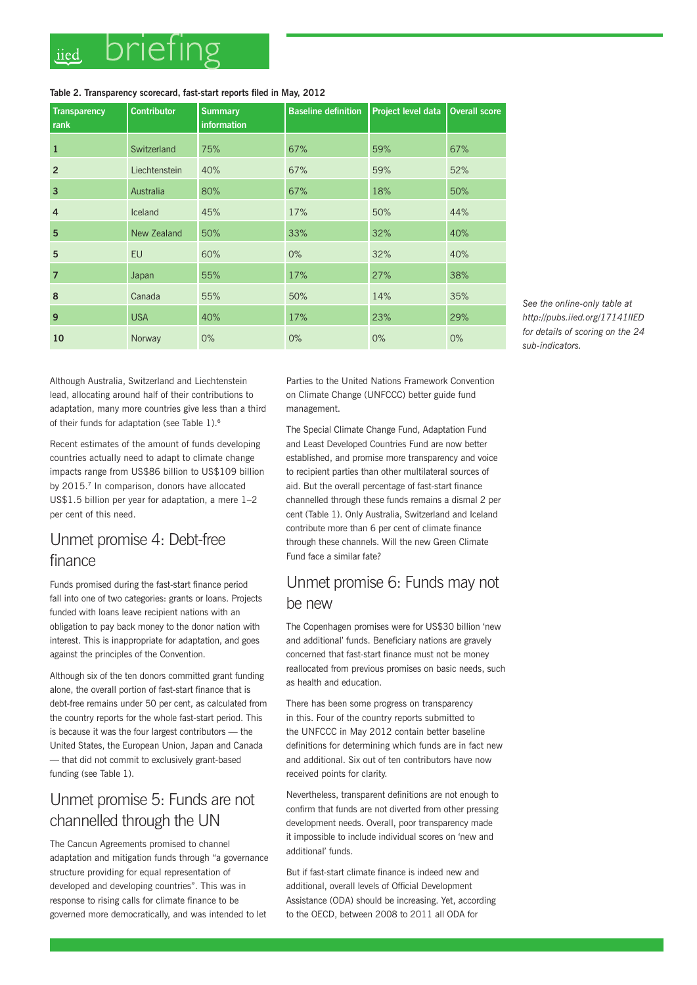#### **Table 2. Transparency scorecard, fast-start reports filed in May, 2012**

| <b>Transparency</b><br>rank | <b>Contributor</b> | <b>Summary</b><br>information | <b>Baseline definition</b> | Project level data | <b>Overall score</b> |
|-----------------------------|--------------------|-------------------------------|----------------------------|--------------------|----------------------|
| $\mathbf{1}$                | Switzerland        | 75%                           | 67%                        | 59%                | 67%                  |
| $\overline{2}$              | Liechtenstein      | 40%                           | 67%                        | 59%                | 52%                  |
| $\overline{3}$              | Australia          | 80%                           | 67%                        | 18%                | 50%                  |
| $\overline{4}$              | Iceland            | 45%                           | 17%                        | 50%                | 44%                  |
| 5                           | New Zealand        | 50%                           | 33%                        | 32%                | 40%                  |
| 5                           | <b>EU</b>          | 60%                           | $0\%$                      | 32%                | 40%                  |
| $\overline{7}$              | Japan              | 55%                           | 17%                        | 27%                | 38%                  |
| 8                           | Canada             | 55%                           | 50%                        | 14%                | 35%                  |
| 9                           | <b>USA</b>         | 40%                           | 17%                        | 23%                | 29%                  |
| 10                          | Norway             | $0\%$                         | 0%                         | $0\%$              | $0\%$                |

*See the online-only table at http://pubs.iied.org/17141IIED for details of scoring on the 24 sub-indicators.*

Although Australia, Switzerland and Liechtenstein lead, allocating around half of their contributions to adaptation, many more countries give less than a third of their funds for adaptation (see Table 1).6

Recent estimates of the amount of funds developing countries actually need to adapt to climate change impacts range from US\$86 billion to US\$109 billion by 2015.<sup>7</sup> In comparison, donors have allocated US\$1.5 billion per year for adaptation, a mere 1–2 per cent of this need.

#### Unmet promise 4: Debt-free finance

Funds promised during the fast-start finance period fall into one of two categories: grants or loans. Projects funded with loans leave recipient nations with an obligation to pay back money to the donor nation with interest. This is inappropriate for adaptation, and goes against the principles of the Convention.

Although six of the ten donors committed grant funding alone, the overall portion of fast-start finance that is debt-free remains under 50 per cent, as calculated from the country reports for the whole fast-start period. This is because it was the four largest contributors — the United States, the European Union, Japan and Canada — that did not commit to exclusively grant-based funding (see Table 1).

#### Unmet promise 5: Funds are not channelled through the UN

The Cancun Agreements promised to channel adaptation and mitigation funds through "a governance structure providing for equal representation of developed and developing countries". This was in response to rising calls for climate finance to be governed more democratically, and was intended to let

Parties to the United Nations Framework Convention on Climate Change (UNFCCC) better guide fund management.

The Special Climate Change Fund, Adaptation Fund and Least Developed Countries Fund are now better established, and promise more transparency and voice to recipient parties than other multilateral sources of aid. But the overall percentage of fast-start finance channelled through these funds remains a dismal 2 per cent (Table 1). Only Australia, Switzerland and Iceland contribute more than 6 per cent of climate finance through these channels. Will the new Green Climate Fund face a similar fate?

#### Unmet promise 6: Funds may not be new

The Copenhagen promises were for US\$30 billion 'new and additional' funds. Beneficiary nations are gravely concerned that fast-start finance must not be money reallocated from previous promises on basic needs, such as health and education.

There has been some progress on transparency in this. Four of the country reports submitted to the UNFCCC in May 2012 contain better baseline definitions for determining which funds are in fact new and additional. Six out of ten contributors have now received points for clarity.

Nevertheless, transparent definitions are not enough to confirm that funds are not diverted from other pressing development needs. Overall, poor transparency made it impossible to include individual scores on 'new and additional' funds.

But if fast-start climate finance is indeed new and additional, overall levels of Official Development Assistance (ODA) should be increasing. Yet, according to the OECD, between 2008 to 2011 all ODA for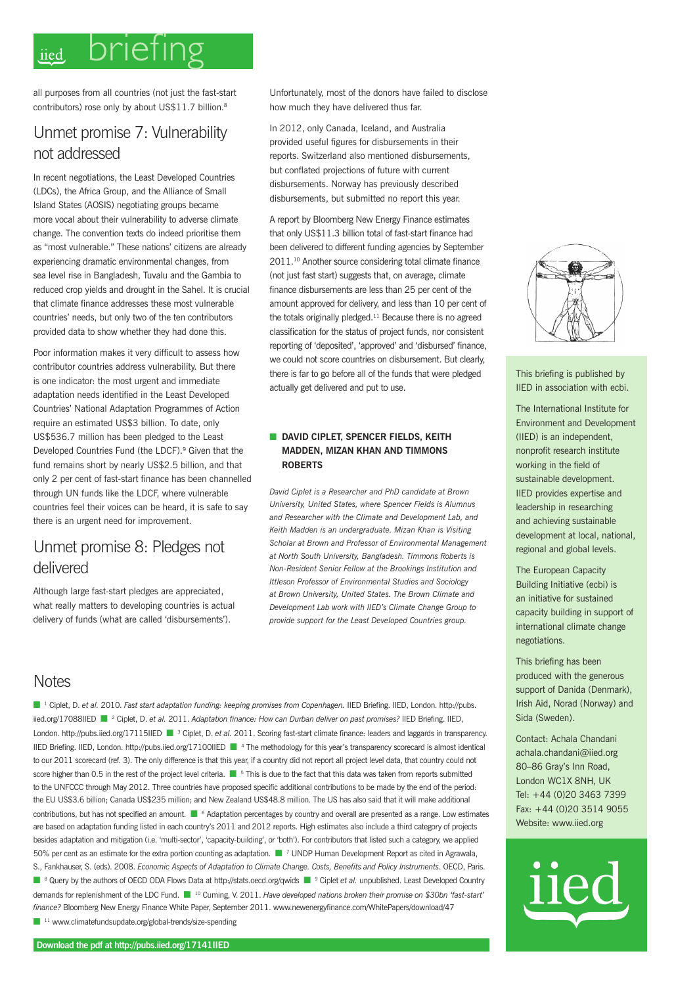#### brieting iied

all purposes from all countries (not just the fast-start contributors) rose only by about US\$11.7 billion.<sup>8</sup>

#### Unmet promise 7: Vulnerability not addressed

In recent negotiations, the Least Developed Countries (LDCs), the Africa Group, and the Alliance of Small Island States (AOSIS) negotiating groups became more vocal about their vulnerability to adverse climate change. The convention texts do indeed prioritise them as "most vulnerable." These nations' citizens are already experiencing dramatic environmental changes, from sea level rise in Bangladesh, Tuvalu and the Gambia to reduced crop yields and drought in the Sahel. It is crucial that climate finance addresses these most vulnerable countries' needs, but only two of the ten contributors provided data to show whether they had done this.

Poor information makes it very difficult to assess how contributor countries address vulnerability. But there is one indicator: the most urgent and immediate adaptation needs identified in the Least Developed Countries' National Adaptation Programmes of Action require an estimated US\$3 billion. To date, only US\$536.7 million has been pledged to the Least Developed Countries Fund (the LDCF).9 Given that the fund remains short by nearly US\$2.5 billion, and that only 2 per cent of fast-start finance has been channelled through UN funds like the LDCF, where vulnerable countries feel their voices can be heard, it is safe to say there is an urgent need for improvement.

#### Unmet promise 8: Pledges not delivered

Although large fast-start pledges are appreciated, what really matters to developing countries is actual delivery of funds (what are called 'disbursements').

Unfortunately, most of the donors have failed to disclose how much they have delivered thus far.

In 2012, only Canada, Iceland, and Australia provided useful figures for disbursements in their reports. Switzerland also mentioned disbursements, but conflated projections of future with current disbursements. Norway has previously described disbursements, but submitted no report this year.

A report by Bloomberg New Energy Finance estimates that only US\$11.3 billion total of fast-start finance had been delivered to different funding agencies by September 2011.10 Another source considering total climate finance (not just fast start) suggests that, on average, climate finance disbursements are less than 25 per cent of the amount approved for delivery, and less than 10 per cent of the totals originally pledged. $11$  Because there is no agreed classification for the status of project funds, nor consistent reporting of 'deposited', 'approved' and 'disbursed' finance, we could not score countries on disbursement. But clearly, there is far to go before all of the funds that were pledged actually get delivered and put to use.

#### **n** DAVID CIPLET, SPENCER FIELDS, KEITH **MADDEN, MIZAN KHAN AND TIMMONS ROBERTS**

*David Ciplet is a Researcher and PhD candidate at Brown University, United States, where Spencer Fields is Alumnus and Researcher with the Climate and Development Lab, and Keith Madden is an undergraduate. Mizan Khan is Visiting Scholar at Brown and Professor of Environmental Management at North South University, Bangladesh. Timmons Roberts is Non-Resident Senior Fellow at the Brookings Institution and Ittleson Professor of Environmental Studies and Sociology at Brown University, United States. The Brown Climate and Development Lab work with IIED's Climate Change Group to provide support for the Least Developed Countries group.*

#### **Notes**

n 1 Ciplet, D. *et al.* 2010. *Fast start adaptation funding: keeping promises from Copenhagen.* IIED Briefing. IIED, London. http://pubs. iied.org/17088IIED <sup>2</sup> Ciplet, D. *et al.* 2011. *Adaptation finance: How can Durban deliver on past promises?* IIED Briefing. IIED, London. http://pubs.iied.org/17115IIED <sup>3</sup> Ciplet, D. *et al.* 2011. Scoring fast-start climate finance: leaders and laggards in transparency. IIED Briefing. IIED, London. http://pubs.iied.org/17100IIED ■ <sup>4</sup> The methodology for this year's transparency scorecard is almost identical to our 2011 scorecard (ref. 3). The only difference is that this year, if a country did not report all project level data, that country could not score higher than 0.5 in the rest of the project level criteria.  $\blacksquare$  <sup>5</sup> This is due to the fact that this data was taken from reports submitted to the UNFCCC through May 2012. Three countries have proposed specific additional contributions to be made by the end of the period: the EU US\$3.6 billion; Canada US\$235 million; and New Zealand US\$48.8 million. The US has also said that it will make additional contributions, but has not specified an amount.  $\blacksquare$  <sup>6</sup> Adaptation percentages by country and overall are presented as a range. Low estimates are based on adaptation funding listed in each country's 2011 and 2012 reports. High estimates also include a third category of projects besides adaptation and mitigation (i.e. 'multi-sector', 'capacity-building', or 'both'). For contributors that listed such a category, we applied 50% per cent as an estimate for the extra portion counting as adaptation. **n** 7 UNDP Human Development Report as cited in Agrawala, S., Fankhauser, S. (eds). 2008. *Economic Aspects of Adaptation to Climate Change. Costs, Benefits and Policy Instruments*. OECD, Paris. ■ <sup>8</sup> Query by the authors of OECD ODA Flows Data at http://stats.oecd.org/qwids ■ <sup>9</sup> Ciplet *et al.* unpublished. Least Developed Country demands for replenishment of the LDC Fund. <sup>10</sup> Cuming, V. 2011. *Have developed nations broken their promise on \$30bn 'fast-start' finance?* Bloomberg New Energy Finance White Paper, September 2011. www.newenergyfinance.com/WhitePapers/download/47  $\blacksquare$ <sup>11</sup> www.climatefundsupdate.org/global-trends/size-spending



This briefing is published by IIED in association with ecbi.

The International Institute for Environment and Development (IIED) is an independent, nonprofit research institute working in the field of sustainable development. IIED provides expertise and leadership in researching and achieving sustainable development at local, national, regional and global levels.

The European Capacity Building Initiative (ecbi) is an initiative for sustained capacity building in support of international climate change negotiations.

This briefing has been produced with the generous support of Danida (Denmark), Irish Aid, Norad (Norway) and Sida (Sweden).

Contact: Achala Chandani achala.chandani@iied.org 80–86 Gray's Inn Road, London WC1X 8NH, UK Tel: +44 (0)20 3463 7399 Fax: +44 (0)20 3514 9055 Website: www.iied.org

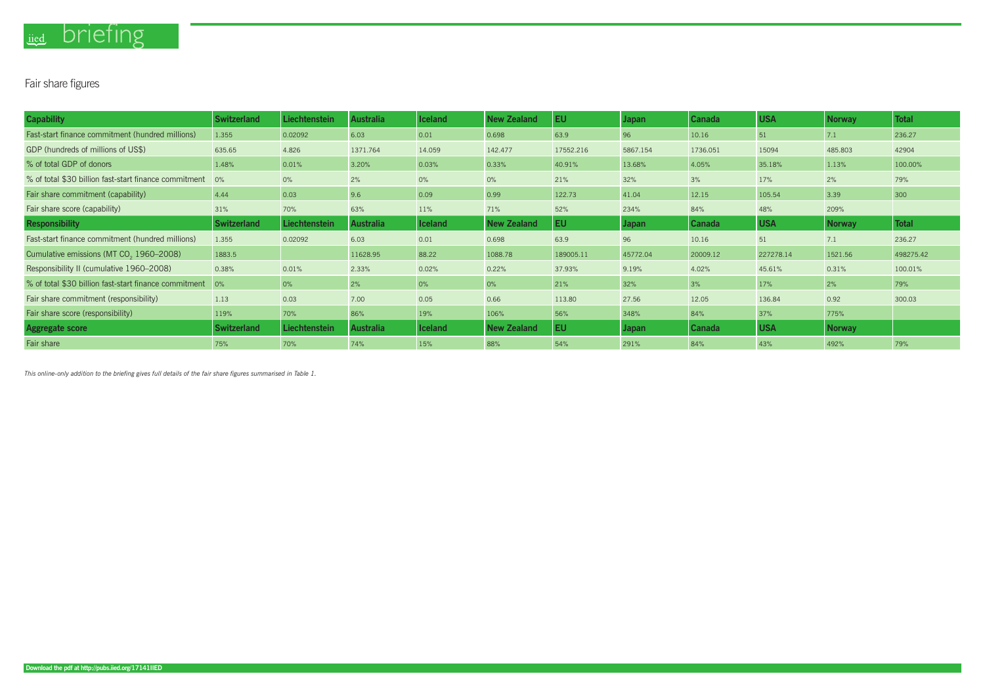# iied briefing

### Fair share figures

*This online-only addition to the briefing gives full details of the fair share figures summarised in Table 1.*

| <b>Capability</b>                                     | <b>Switzerland</b> | Liechtenstein | <b>Australia</b> | <b>Iceland</b> | <b>New Zealand</b> | <b>EU</b> | <b>Japan</b> | Canada   | <b>USA</b> | <b>Norway</b> | <b>Total</b> |
|-------------------------------------------------------|--------------------|---------------|------------------|----------------|--------------------|-----------|--------------|----------|------------|---------------|--------------|
| Fast-start finance commitment (hundred millions)      | 1.355              | 0.02092       | 6.03             | 0.01           | 0.698              | 63.9      | 96           | 10.16    | 51         | 7.1           | 236.27       |
| GDP (hundreds of millions of US\$)                    | 635.65             | 4.826         | 1371.764         | 14.059         | 142.477            | 17552.216 | 5867.154     | 1736.051 | 15094      | 485.803       | 42904        |
| % of total GDP of donors                              | 1.48%              | 0.01%         | 3.20%            | 0.03%          | 0.33%              | 40.91%    | 13.68%       | 4.05%    | 35.18%     | 1.13%         | 100.00%      |
| % of total \$30 billion fast-start finance commitment | 0%                 | $0\%$         | 2%               | $0\%$          | $0\%$              | 21%       | 32%          | 3%       | 17%        | 2%            | 79%          |
| Fair share commitment (capability)                    | 4.44               | 0.03          | 9.6              | 0.09           | 0.99               | 122.73    | 41.04        | 12.15    | 105.54     | 3.39          | 300          |
| Fair share score (capability)                         | 31%                | 70%           | 63%              | 11%            | 71%                | 52%       | 234%         | 84%      | 48%        | 209%          |              |
| Responsibility                                        | <b>Switzerland</b> | Liechtenstein | <b>Australia</b> | <b>Iceland</b> | <b>New Zealand</b> | <b>EU</b> | <b>Japan</b> | Canada   | <b>USA</b> | <b>Norway</b> | <b>Total</b> |
| Fast-start finance commitment (hundred millions)      | 1.355              | 0.02092       | 6.03             | 0.01           | 0.698              | 63.9      | 96           | 10.16    | 51         | 7.1           | 236.27       |
| Cumulative emissions (MT CO <sub>2</sub> 1960-2008)   | 1883.5             |               | 11628.95         | 88.22          | 1088.78            | 189005.11 | 45772.04     | 20009.12 | 227278.14  | 1521.56       | 498275.42    |
| Responsibility II (cumulative 1960-2008)              | 0.38%              | 0.01%         | 2.33%            | 0.02%          | 0.22%              | 37.93%    | 9.19%        | 4.02%    | 45.61%     | 0.31%         | 100.01%      |
| % of total \$30 billion fast-start finance commitment | 0%                 | 0%            | 2%               | 0%             | 0%                 | 21%       | 32%          | 3%       | 17%        | 2%            | 79%          |
| Fair share commitment (responsibility)                | 1.13               | 0.03          | 7.00             | 0.05           | 0.66               | 113.80    | 27.56        | 12.05    | 136.84     | 0.92          | 300.03       |
| Fair share score (responsibility)                     | 119%               | 70%           | 86%              | 19%            | 106%               | 56%       | 348%         | 84%      | 37%        | 775%          |              |
| <b>Aggregate score</b>                                | <b>Switzerland</b> | Liechtenstein | <b>Australia</b> | <b>Iceland</b> | <b>New Zealand</b> | <b>EU</b> | <b>Japan</b> | Canada   | <b>USA</b> | <b>Norway</b> |              |
| Fair share                                            | 75%                | 70%           | 74%              | 15%            | 88%                | 54%       | 291%         | 84%      | 43%        | 492%          | 79%          |